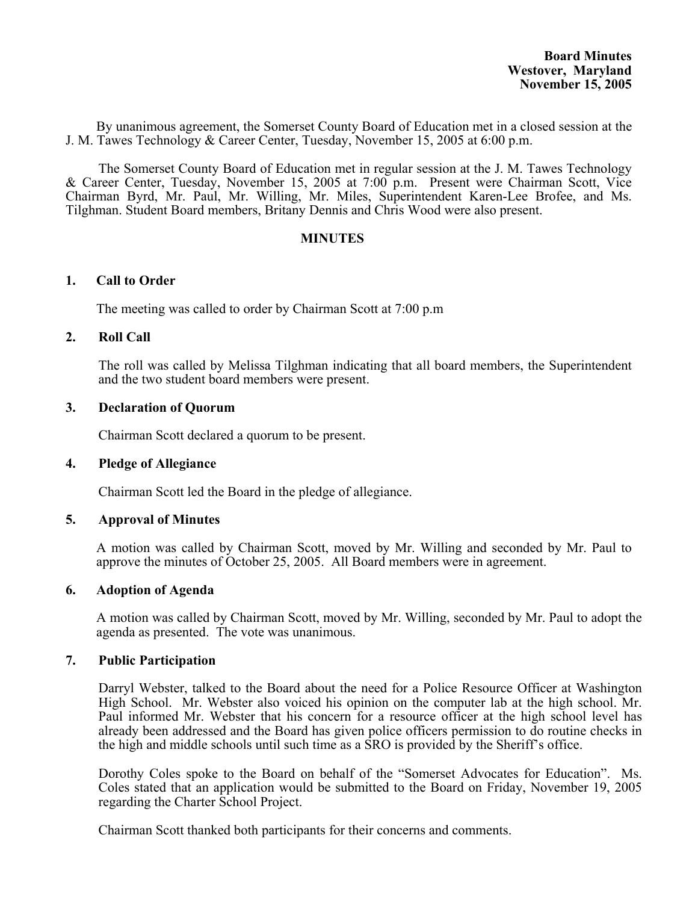By unanimous agreement, the Somerset County Board of Education met in a closed session at the J. M. Tawes Technology & Career Center, Tuesday, November 15, 2005 at 6:00 p.m.

The Somerset County Board of Education met in regular session at the J. M. Tawes Technology & Career Center, Tuesday, November 15, 2005 at 7:00 p.m. Present were Chairman Scott, Vice Chairman Byrd, Mr. Paul, Mr. Willing, Mr. Miles, Superintendent Karen-Lee Brofee, and Ms. Tilghman. Student Board members, Britany Dennis and Chris Wood were also present.

## **MINUTES**

## **1. Call to Order**

The meeting was called to order by Chairman Scott at 7:00 p.m

## **2. Roll Call**

The roll was called by Melissa Tilghman indicating that all board members, the Superintendent and the two student board members were present.

## **3. Declaration of Quorum**

Chairman Scott declared a quorum to be present.

### **4. Pledge of Allegiance**

Chairman Scott led the Board in the pledge of allegiance.

### **5. Approval of Minutes**

 A motion was called by Chairman Scott, moved by Mr. Willing and seconded by Mr. Paul to approve the minutes of October 25, 2005. All Board members were in agreement.

### **6. Adoption of Agenda**

A motion was called by Chairman Scott, moved by Mr. Willing, seconded by Mr. Paul to adopt the agenda as presented. The vote was unanimous.

### **7. Public Participation**

Darryl Webster, talked to the Board about the need for a Police Resource Officer at Washington High School. Mr. Webster also voiced his opinion on the computer lab at the high school. Mr. Paul informed Mr. Webster that his concern for a resource officer at the high school level has already been addressed and the Board has given police officers permission to do routine checks in the high and middle schools until such time as a SRO is provided by the Sheriff's office.

Dorothy Coles spoke to the Board on behalf of the "Somerset Advocates for Education". Ms. Coles stated that an application would be submitted to the Board on Friday, November 19, 2005 regarding the Charter School Project.

Chairman Scott thanked both participants for their concerns and comments.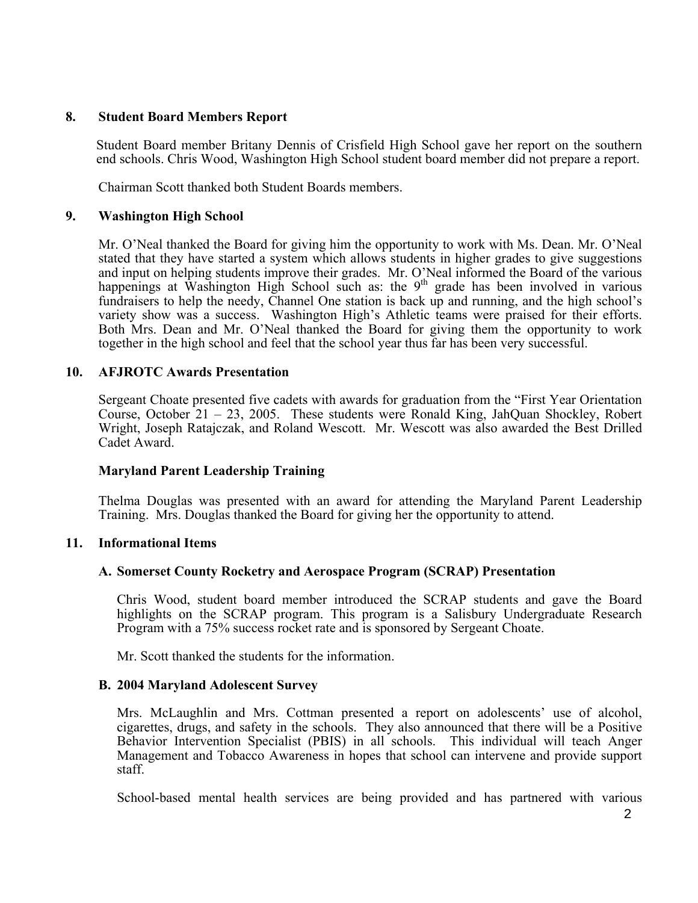## **8. Student Board Members Report**

 Student Board member Britany Dennis of Crisfield High School gave her report on the southern end schools. Chris Wood, Washington High School student board member did not prepare a report.

Chairman Scott thanked both Student Boards members.

## **9. Washington High School**

Mr. O'Neal thanked the Board for giving him the opportunity to work with Ms. Dean. Mr. O'Neal stated that they have started a system which allows students in higher grades to give suggestions and input on helping students improve their grades. Mr. O'Neal informed the Board of the various happenings at Washington High School such as: the 9<sup>th</sup> grade has been involved in various fundraisers to help the needy, Channel One station is back up and running, and the high school's variety show was a success. Washington High's Athletic teams were praised for their efforts. Both Mrs. Dean and Mr. O'Neal thanked the Board for giving them the opportunity to work together in the high school and feel that the school year thus far has been very successful.

## **10. AFJROTC Awards Presentation**

Sergeant Choate presented five cadets with awards for graduation from the "First Year Orientation Course, October 21 – 23, 2005. These students were Ronald King, JahQuan Shockley, Robert Wright, Joseph Ratajczak, and Roland Wescott. Mr. Wescott was also awarded the Best Drilled Cadet Award.

# **Maryland Parent Leadership Training**

Thelma Douglas was presented with an award for attending the Maryland Parent Leadership Training. Mrs. Douglas thanked the Board for giving her the opportunity to attend.

### **11. Informational Items**

### **A. Somerset County Rocketry and Aerospace Program (SCRAP) Presentation**

Chris Wood, student board member introduced the SCRAP students and gave the Board highlights on the SCRAP program. This program is a Salisbury Undergraduate Research Program with a 75% success rocket rate and is sponsored by Sergeant Choate.

Mr. Scott thanked the students for the information.

### **B. 2004 Maryland Adolescent Survey**

Mrs. McLaughlin and Mrs. Cottman presented a report on adolescents' use of alcohol, cigarettes, drugs, and safety in the schools. They also announced that there will be a Positive Behavior Intervention Specialist (PBIS) in all schools. This individual will teach Anger Management and Tobacco Awareness in hopes that school can intervene and provide support staff.

School-based mental health services are being provided and has partnered with various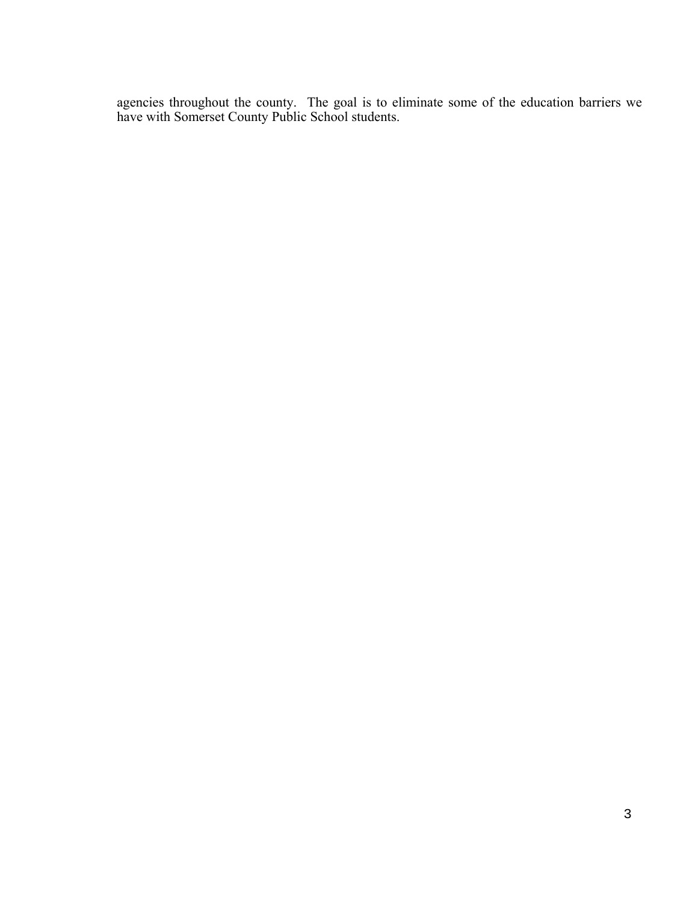agencies throughout the county. The goal is to eliminate some of the education barriers we have with Somerset County Public School students.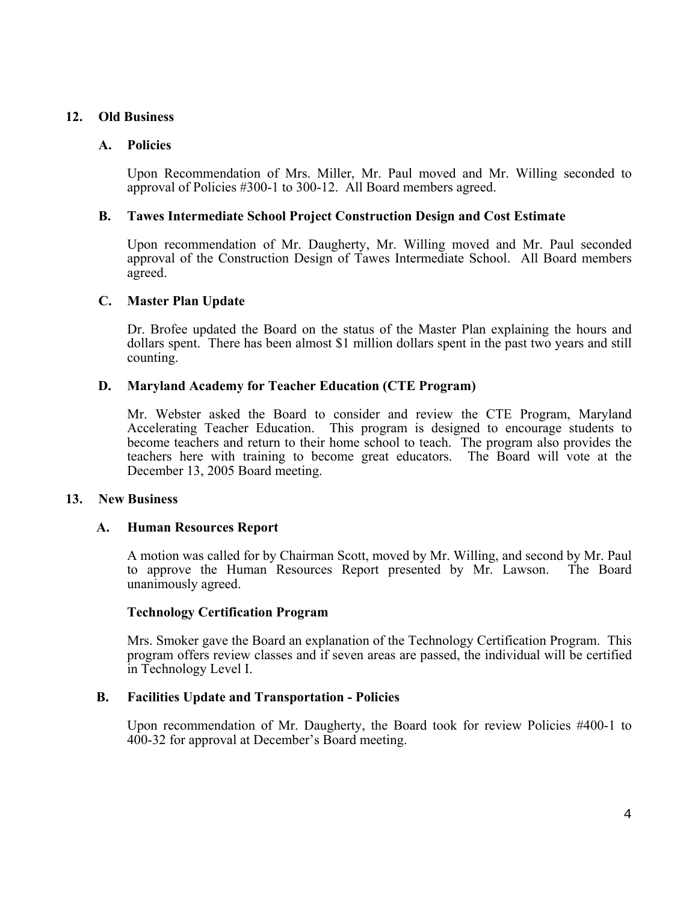# **12. Old Business**

# **A. Policies**

Upon Recommendation of Mrs. Miller, Mr. Paul moved and Mr. Willing seconded to approval of Policies #300-1 to 300-12. All Board members agreed.

# **B. Tawes Intermediate School Project Construction Design and Cost Estimate**

Upon recommendation of Mr. Daugherty, Mr. Willing moved and Mr. Paul seconded approval of the Construction Design of Tawes Intermediate School. All Board members agreed.

## **C. Master Plan Update**

Dr. Brofee updated the Board on the status of the Master Plan explaining the hours and dollars spent. There has been almost \$1 million dollars spent in the past two years and still counting.

## **D. Maryland Academy for Teacher Education (CTE Program)**

Mr. Webster asked the Board to consider and review the CTE Program, Maryland Accelerating Teacher Education. This program is designed to encourage students to become teachers and return to their home school to teach. The program also provides the teachers here with training to become great educators. The Board will vote at the December 13, 2005 Board meeting.

# **13. New Business**

# **A. Human Resources Report**

A motion was called for by Chairman Scott, moved by Mr. Willing, and second by Mr. Paul to approve the Human Resources Report presented by Mr. Lawson. The Board unanimously agreed.

### **Technology Certification Program**

Mrs. Smoker gave the Board an explanation of the Technology Certification Program. This program offers review classes and if seven areas are passed, the individual will be certified in Technology Level I.

# **B. Facilities Update and Transportation - Policies**

Upon recommendation of Mr. Daugherty, the Board took for review Policies #400-1 to 400-32 for approval at December's Board meeting.